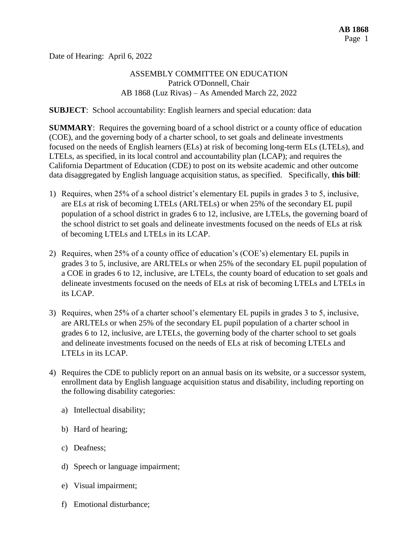Date of Hearing: April 6, 2022

## ASSEMBLY COMMITTEE ON EDUCATION Patrick O'Donnell, Chair AB 1868 (Luz Rivas) – As Amended March 22, 2022

**SUBJECT**: School accountability: English learners and special education: data

**SUMMARY**: Requires the governing board of a school district or a county office of education (COE), and the governing body of a charter school, to set goals and delineate investments focused on the needs of English learners (ELs) at risk of becoming long-term ELs (LTELs), and LTELs, as specified, in its local control and accountability plan (LCAP); and requires the California Department of Education (CDE) to post on its website academic and other outcome data disaggregated by English language acquisition status, as specified. Specifically, **this bill**:

- 1) Requires, when 25% of a school district's elementary EL pupils in grades 3 to 5, inclusive, are ELs at risk of becoming LTELs (ARLTELs) or when 25% of the secondary EL pupil population of a school district in grades 6 to 12, inclusive, are LTELs, the governing board of the school district to set goals and delineate investments focused on the needs of ELs at risk of becoming LTELs and LTELs in its LCAP.
- 2) Requires, when 25% of a county office of education's (COE's) elementary EL pupils in grades 3 to 5, inclusive, are ARLTELs or when 25% of the secondary EL pupil population of a COE in grades 6 to 12, inclusive, are LTELs, the county board of education to set goals and delineate investments focused on the needs of ELs at risk of becoming LTELs and LTELs in its LCAP.
- 3) Requires, when 25% of a charter school's elementary EL pupils in grades 3 to 5, inclusive, are ARLTELs or when 25% of the secondary EL pupil population of a charter school in grades 6 to 12, inclusive, are LTELs, the governing body of the charter school to set goals and delineate investments focused on the needs of ELs at risk of becoming LTELs and LTELs in its LCAP.
- 4) Requires the CDE to publicly report on an annual basis on its website, or a successor system, enrollment data by English language acquisition status and disability, including reporting on the following disability categories:
	- a) Intellectual disability;
	- b) Hard of hearing;
	- c) Deafness;
	- d) Speech or language impairment;
	- e) Visual impairment;
	- f) Emotional disturbance;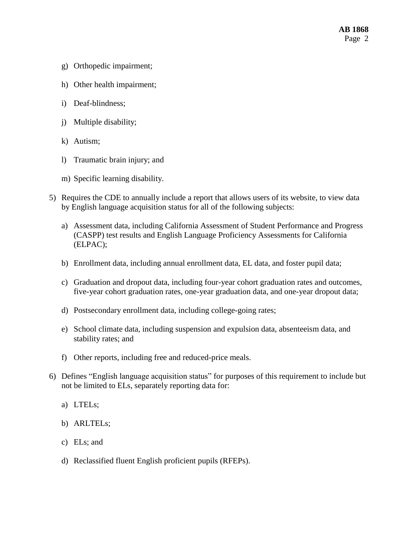- g) Orthopedic impairment;
- h) Other health impairment;
- i) Deaf-blindness;
- j) Multiple disability;
- k) Autism;
- l) Traumatic brain injury; and
- m) Specific learning disability.
- 5) Requires the CDE to annually include a report that allows users of its website, to view data by English language acquisition status for all of the following subjects:
	- a) Assessment data, including California Assessment of Student Performance and Progress (CASPP) test results and English Language Proficiency Assessments for California (ELPAC);
	- b) Enrollment data, including annual enrollment data, EL data, and foster pupil data;
	- c) Graduation and dropout data, including four-year cohort graduation rates and outcomes, five-year cohort graduation rates, one-year graduation data, and one-year dropout data;
	- d) Postsecondary enrollment data, including college-going rates;
	- e) School climate data, including suspension and expulsion data, absenteeism data, and stability rates; and
	- f) Other reports, including free and reduced-price meals.
- 6) Defines "English language acquisition status" for purposes of this requirement to include but not be limited to ELs, separately reporting data for:
	- a) LTELs;
	- b) ARLTELs;
	- c) ELs; and
	- d) Reclassified fluent English proficient pupils (RFEPs).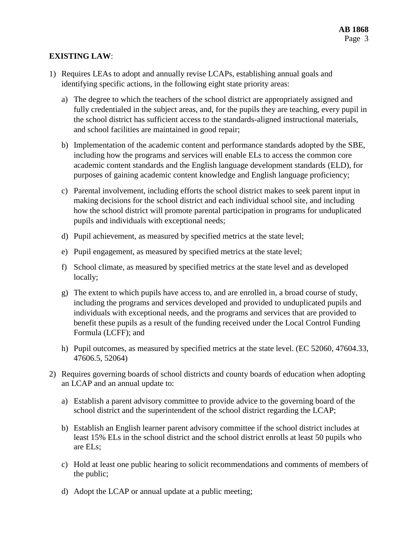## **EXISTING LAW**:

- 1) Requires LEAs to adopt and annually revise LCAPs, establishing annual goals and identifying specific actions, in the following eight state priority areas:
	- a) The degree to which the teachers of the school district are appropriately assigned and fully credentialed in the subject areas, and, for the pupils they are teaching, every pupil in the school district has sufficient access to the standards-aligned instructional materials, and school facilities are maintained in good repair;
	- b) Implementation of the academic content and performance standards adopted by the SBE, including how the programs and services will enable ELs to access the common core academic content standards and the English language development standards (ELD), for purposes of gaining academic content knowledge and English language proficiency;
	- c) Parental involvement, including efforts the school district makes to seek parent input in making decisions for the school district and each individual school site, and including how the school district will promote parental participation in programs for unduplicated pupils and individuals with exceptional needs;
	- d) Pupil achievement, as measured by specified metrics at the state level;
	- e) Pupil engagement, as measured by specified metrics at the state level;
	- f) School climate, as measured by specified metrics at the state level and as developed locally;
	- g) The extent to which pupils have access to, and are enrolled in, a broad course of study, including the programs and services developed and provided to unduplicated pupils and individuals with exceptional needs, and the programs and services that are provided to benefit these pupils as a result of the funding received under the Local Control Funding Formula (LCFF); and
	- h) Pupil outcomes, as measured by specified metrics at the state level. (EC 52060, 47604.33, 47606.5, 52064)
- 2) Requires governing boards of school districts and county boards of education when adopting an LCAP and an annual update to:
	- a) Establish a parent advisory committee to provide advice to the governing board of the school district and the superintendent of the school district regarding the LCAP;
	- b) Establish an English learner parent advisory committee if the school district includes at least 15% ELs in the school district and the school district enrolls at least 50 pupils who are ELs;
	- c) Hold at least one public hearing to solicit recommendations and comments of members of the public;
	- d) Adopt the LCAP or annual update at a public meeting;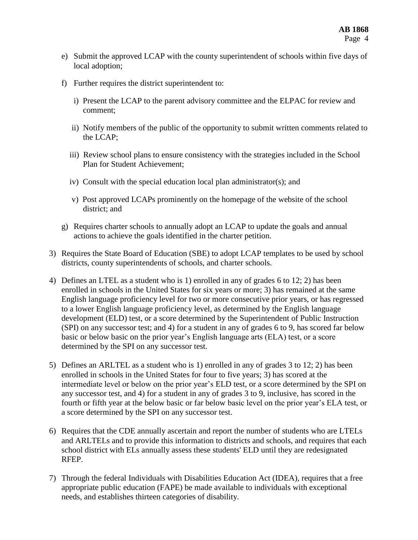- e) Submit the approved LCAP with the county superintendent of schools within five days of local adoption;
- f) Further requires the district superintendent to:
	- i) Present the LCAP to the parent advisory committee and the ELPAC for review and comment;
	- ii) Notify members of the public of the opportunity to submit written comments related to the LCAP;
	- iii) Review school plans to ensure consistency with the strategies included in the School Plan for Student Achievement;
	- iv) Consult with the special education local plan administrator(s); and
	- v) Post approved LCAPs prominently on the homepage of the website of the school district; and
- g) Requires charter schools to annually adopt an LCAP to update the goals and annual actions to achieve the goals identified in the charter petition.
- 3) Requires the State Board of Education (SBE) to adopt LCAP templates to be used by school districts, county superintendents of schools, and charter schools.
- 4) Defines an LTEL as a student who is 1) enrolled in any of grades 6 to 12; 2) has been enrolled in schools in the United States for six years or more; 3) has remained at the same English language proficiency level for two or more consecutive prior years, or has regressed to a lower English language proficiency level, as determined by the English language development (ELD) test, or a score determined by the Superintendent of Public Instruction (SPI) on any successor test; and 4) for a student in any of grades 6 to 9, has scored far below basic or below basic on the prior year's English language arts (ELA) test, or a score determined by the SPI on any successor test.
- 5) Defines an ARLTEL as a student who is 1) enrolled in any of grades 3 to 12; 2) has been enrolled in schools in the United States for four to five years; 3) has scored at the intermediate level or below on the prior year's ELD test, or a score determined by the SPI on any successor test, and 4) for a student in any of grades 3 to 9, inclusive, has scored in the fourth or fifth year at the below basic or far below basic level on the prior year's ELA test, or a score determined by the SPI on any successor test.
- 6) Requires that the CDE annually ascertain and report the number of students who are LTELs and ARLTELs and to provide this information to districts and schools, and requires that each school district with ELs annually assess these students' ELD until they are redesignated RFEP.
- 7) Through the federal Individuals with Disabilities Education Act (IDEA), requires that a free appropriate public education (FAPE) be made available to individuals with exceptional needs, and establishes thirteen categories of disability.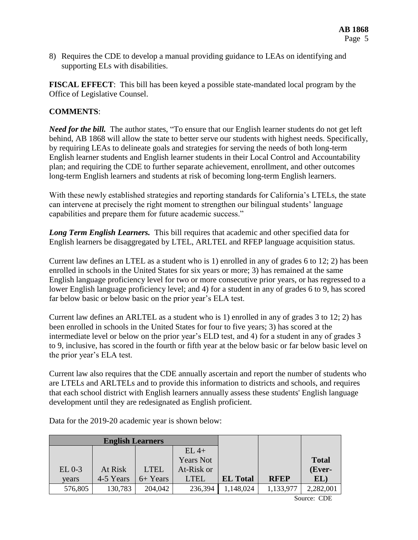8) Requires the CDE to develop a manual providing guidance to LEAs on identifying and supporting ELs with disabilities.

**FISCAL EFFECT**: This bill has been keyed a possible state-mandated local program by the Office of Legislative Counsel.

## **COMMENTS**:

*Need for the bill.* The author states, "To ensure that our English learner students do not get left behind, AB 1868 will allow the state to better serve our students with highest needs. Specifically, by requiring LEAs to delineate goals and strategies for serving the needs of both long-term English learner students and English learner students in their Local Control and Accountability plan; and requiring the CDE to further separate achievement, enrollment, and other outcomes long-term English learners and students at risk of becoming long-term English learners.

With these newly established strategies and reporting standards for California's LTELs, the state can intervene at precisely the right moment to strengthen our bilingual students' language capabilities and prepare them for future academic success."

*Long Term English Learners.* This bill requires that academic and other specified data for English learners be disaggregated by LTEL, ARLTEL and RFEP language acquisition status.

Current law defines an LTEL as a student who is 1) enrolled in any of grades 6 to 12; 2) has been enrolled in schools in the United States for six years or more; 3) has remained at the same English language proficiency level for two or more consecutive prior years, or has regressed to a lower English language proficiency level; and 4) for a student in any of grades 6 to 9, has scored far below basic or below basic on the prior year's ELA test.

Current law defines an ARLTEL as a student who is 1) enrolled in any of grades 3 to 12; 2) has been enrolled in schools in the United States for four to five years; 3) has scored at the intermediate level or below on the prior year's ELD test, and 4) for a student in any of grades 3 to 9, inclusive, has scored in the fourth or fifth year at the below basic or far below basic level on the prior year's ELA test.

Current law also requires that the CDE annually ascertain and report the number of students who are LTELs and ARLTELs and to provide this information to districts and schools, and requires that each school district with English learners annually assess these students' English language development until they are redesignated as English proficient.

| <b>English Learners</b> |           |             |                  |                 |             |              |
|-------------------------|-----------|-------------|------------------|-----------------|-------------|--------------|
|                         |           |             | $EL$ 4+          |                 |             |              |
|                         |           |             | <b>Years Not</b> |                 |             | <b>Total</b> |
| $EL 0-3$                | At Risk   | <b>LTEL</b> | At-Risk or       |                 |             | (Ever-       |
| years                   | 4-5 Years | 6+ Years    | <b>LTEL</b>      | <b>EL Total</b> | <b>RFEP</b> | EL)          |
| 576,805                 | 130,783   | 204,042     | 236,394          | 1,148,024       | 1,133,977   | 2,282,001    |

Data for the 2019-20 academic year is shown below:

Source: CDE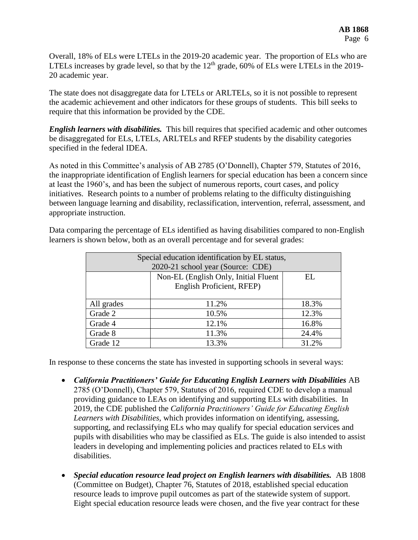Overall, 18% of ELs were LTELs in the 2019-20 academic year. The proportion of ELs who are LTELs increases by grade level, so that by the  $12<sup>th</sup>$  grade, 60% of ELs were LTELs in the 2019-20 academic year.

The state does not disaggregate data for LTELs or ARLTELs, so it is not possible to represent the academic achievement and other indicators for these groups of students. This bill seeks to require that this information be provided by the CDE.

*English learners with disabilities.* This bill requires that specified academic and other outcomes be disaggregated for ELs, LTELs, ARLTELs and RFEP students by the disability categories specified in the federal IDEA.

As noted in this Committee's analysis of AB 2785 (O'Donnell), Chapter 579, Statutes of 2016, the inappropriate identification of English learners for special education has been a concern since at least the 1960's, and has been the subject of numerous reports, court cases, and policy initiatives. Research points to a number of problems relating to the difficulty distinguishing between language learning and disability, reclassification, intervention, referral, assessment, and appropriate instruction.

| Special education identification by EL status, |                                      |       |  |  |  |
|------------------------------------------------|--------------------------------------|-------|--|--|--|
| 2020-21 school year (Source: CDE)              |                                      |       |  |  |  |
|                                                | Non-EL (English Only, Initial Fluent | EL.   |  |  |  |
|                                                | English Proficient, RFEP)            |       |  |  |  |
|                                                |                                      |       |  |  |  |
| All grades                                     | 11.2%                                | 18.3% |  |  |  |
| Grade 2                                        | 10.5%                                | 12.3% |  |  |  |
| Grade 4                                        | 12.1%                                | 16.8% |  |  |  |
| Grade 8                                        | 11.3%                                | 24.4% |  |  |  |
| Grade 12                                       | 13.3%                                | 31.2% |  |  |  |

Data comparing the percentage of ELs identified as having disabilities compared to non-English learners is shown below, both as an overall percentage and for several grades:

In response to these concerns the state has invested in supporting schools in several ways:

- *California Practitioners' Guide for Educating English Learners with Disabilities* AB 2785 (O'Donnell), Chapter 579, Statutes of 2016, required CDE to develop a manual providing guidance to LEAs on identifying and supporting ELs with disabilities. In 2019, the CDE published the *California Practitioners' Guide for Educating English Learners with Disabilities,* which provides information on identifying, assessing, supporting, and reclassifying ELs who may qualify for special education services and pupils with disabilities who may be classified as ELs. The guide is also intended to assist leaders in developing and implementing policies and practices related to ELs with disabilities.
- *Special education resource lead project on English learners with disabilities.* AB 1808 (Committee on Budget), Chapter 76, Statutes of 2018, established special education resource leads to improve pupil outcomes as part of the statewide system of support. Eight special education resource leads were chosen, and the five year contract for these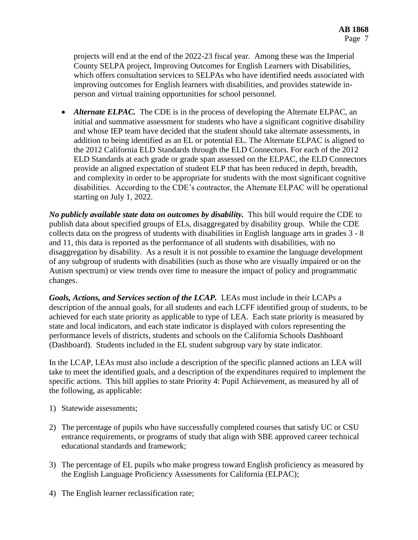projects will end at the end of the 2022-23 fiscal year. Among these was the Imperial County SELPA project, Improving Outcomes for English Learners with Disabilities, which offers consultation services to SELPAs who have identified needs associated with improving outcomes for English learners with disabilities, and provides statewide inperson and virtual training opportunities for school personnel.

• *Alternate ELPAC*. The CDE is in the process of developing the Alternate ELPAC, an initial and summative assessment for students who have a significant cognitive disability and whose IEP team have decided that the student should take alternate assessments, in addition to being identified as an EL or potential EL. The Alternate ELPAC is aligned to the 2012 California ELD Standards through the ELD Connectors. For each of the 2012 ELD Standards at each grade or grade span assessed on the ELPAC, the ELD Connectors provide an aligned expectation of student ELP that has been reduced in depth, breadth, and complexity in order to be appropriate for students with the most significant cognitive disabilities. According to the CDE's contractor, the Alternate ELPAC will be operational starting on July 1, 2022.

*No publicly available state data on outcomes by disability.* This bill would require the CDE to publish data about specified groups of ELs, disaggregated by disability group. While the CDE collects data on the progress of students with disabilities in English language arts in grades 3 - 8 and 11, this data is reported as the performance of all students with disabilities, with no disaggregation by disability. As a result it is not possible to examine the language development of any subgroup of students with disabilities (such as those who are visually impaired or on the Autism spectrum) or view trends over time to measure the impact of policy and programmatic changes.

*Goals, Actions, and Services section of the LCAP.* LEAs must include in their LCAPs a description of the annual goals, for all students and each LCFF identified group of students, to be achieved for each state priority as applicable to type of LEA. Each state priority is measured by state and local indicators, and each state indicator is displayed with colors representing the performance levels of districts, students and schools on the California Schools Dashboard (Dashboard). Students included in the EL student subgroup vary by state indicator.

In the LCAP, LEAs must also include a description of the specific planned actions an LEA will take to meet the identified goals, and a description of the expenditures required to implement the specific actions. This bill applies to state Priority 4: Pupil Achievement, as measured by all of the following, as applicable:

- 1) Statewide assessments;
- 2) The percentage of pupils who have successfully completed courses that satisfy UC or CSU entrance requirements, or programs of study that align with SBE approved career technical educational standards and framework;
- 3) The percentage of EL pupils who make progress toward English proficiency as measured by the English Language Proficiency Assessments for California (ELPAC);
- 4) The English learner reclassification rate;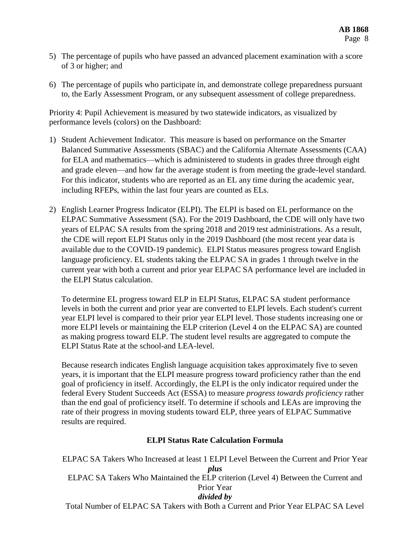- 5) The percentage of pupils who have passed an advanced placement examination with a score of 3 or higher; and
- 6) The percentage of pupils who participate in, and demonstrate college preparedness pursuant to, the Early Assessment Program, or any subsequent assessment of college preparedness.

Priority 4: Pupil Achievement is measured by two statewide indicators, as visualized by performance levels (colors) on the Dashboard:

- 1) Student Achievement Indicator. This measure is based on performance on the Smarter Balanced Summative Assessments (SBAC) and the California Alternate Assessments (CAA) for ELA and mathematics—which is administered to students in grades three through eight and grade eleven—and how far the average student is from meeting the grade-level standard. For this indicator, students who are reported as an EL any time during the academic year, including RFEPs, within the last four years are counted as ELs.
- 2) English Learner Progress Indicator (ELPI). The ELPI is based on EL performance on the ELPAC Summative Assessment (SA). For the 2019 Dashboard, the CDE will only have two years of ELPAC SA results from the spring 2018 and 2019 test administrations. As a result, the CDE will report ELPI Status only in the 2019 Dashboard (the most recent year data is available due to the COVID-19 pandemic). ELPI Status measures progress toward English language proficiency. EL students taking the ELPAC SA in grades 1 through twelve in the current year with both a current and prior year ELPAC SA performance level are included in the ELPI Status calculation.

To determine EL progress toward ELP in ELPI Status, ELPAC SA student performance levels in both the current and prior year are converted to ELPI levels. Each student's current year ELPI level is compared to their prior year ELPI level. Those students increasing one or more ELPI levels or maintaining the ELP criterion (Level 4 on the ELPAC SA) are counted as making progress toward ELP. The student level results are aggregated to compute the ELPI Status Rate at the school-and LEA-level.

Because research indicates English language acquisition takes approximately five to seven years, it is important that the ELPI measure progress toward proficiency rather than the end goal of proficiency in itself. Accordingly, the ELPI is the only indicator required under the federal Every Student Succeeds Act (ESSA) to measure *progress towards proficiency* rather than the end goal of proficiency itself. To determine if schools and LEAs are improving the rate of their progress in moving students toward ELP, three years of ELPAC Summative results are required.

## **ELPI Status Rate Calculation Formula**

ELPAC SA Takers Who Increased at least 1 ELPI Level Between the Current and Prior Year *plus* ELPAC SA Takers Who Maintained the ELP criterion (Level 4) Between the Current and Prior Year *divided by*

Total Number of ELPAC SA Takers with Both a Current and Prior Year ELPAC SA Level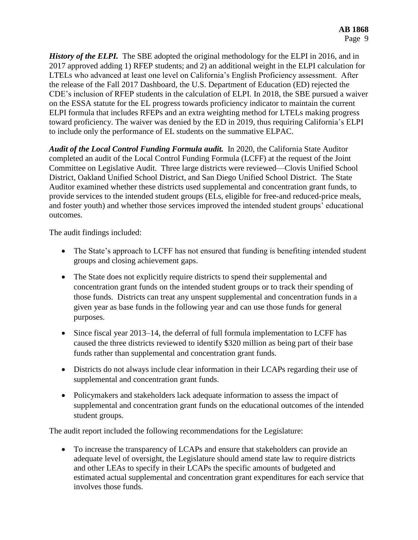*History of the ELPI.* The SBE adopted the original methodology for the ELPI in 2016, and in 2017 approved adding 1) RFEP students; and 2) an additional weight in the ELPI calculation for LTELs who advanced at least one level on California's English Proficiency assessment. After the release of the Fall 2017 Dashboard, the U.S. Department of Education (ED) rejected the CDE's inclusion of RFEP students in the calculation of ELPI. In 2018, the SBE pursued a waiver on the ESSA statute for the EL progress towards proficiency indicator to maintain the current ELPI formula that includes RFEPs and an extra weighting method for LTELs making progress toward proficiency. The waiver was denied by the ED in 2019, thus requiring California's ELPI to include only the performance of EL students on the summative ELPAC.

*Audit of the Local Control Funding Formula audit.* In 2020, the California State Auditor completed an audit of the Local Control Funding Formula (LCFF) at the request of the Joint Committee on Legislative Audit. Three large districts were reviewed—Clovis Unified School District, Oakland Unified School District, and San Diego Unified School District. The State Auditor examined whether these districts used supplemental and concentration grant funds, to provide services to the intended student groups (ELs, eligible for free-and reduced-price meals, and foster youth) and whether those services improved the intended student groups' educational outcomes.

The audit findings included:

- The State's approach to LCFF has not ensured that funding is benefiting intended student groups and closing achievement gaps.
- The State does not explicitly require districts to spend their supplemental and concentration grant funds on the intended student groups or to track their spending of those funds. Districts can treat any unspent supplemental and concentration funds in a given year as base funds in the following year and can use those funds for general purposes.
- Since fiscal year 2013–14, the deferral of full formula implementation to LCFF has caused the three districts reviewed to identify \$320 million as being part of their base funds rather than supplemental and concentration grant funds.
- Districts do not always include clear information in their LCAPs regarding their use of supplemental and concentration grant funds.
- Policymakers and stakeholders lack adequate information to assess the impact of supplemental and concentration grant funds on the educational outcomes of the intended student groups.

The audit report included the following recommendations for the Legislature:

 To increase the transparency of LCAPs and ensure that stakeholders can provide an adequate level of oversight, the Legislature should amend state law to require districts and other LEAs to specify in their LCAPs the specific amounts of budgeted and estimated actual supplemental and concentration grant expenditures for each service that involves those funds.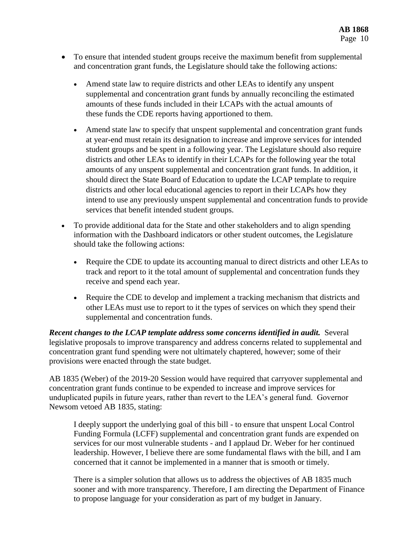- To ensure that intended student groups receive the maximum benefit from supplemental and concentration grant funds, the Legislature should take the following actions:
	- Amend state law to require districts and other LEAs to identify any unspent supplemental and concentration grant funds by annually reconciling the estimated amounts of these funds included in their LCAPs with the actual amounts of these funds the CDE reports having apportioned to them.
	- Amend state law to specify that unspent supplemental and concentration grant funds at year-end must retain its designation to increase and improve services for intended student groups and be spent in a following year. The Legislature should also require districts and other LEAs to identify in their LCAPs for the following year the total amounts of any unspent supplemental and concentration grant funds. In addition, it should direct the State Board of Education to update the LCAP template to require districts and other local educational agencies to report in their LCAPs how they intend to use any previously unspent supplemental and concentration funds to provide services that benefit intended student groups.
- To provide additional data for the State and other stakeholders and to align spending information with the Dashboard indicators or other student outcomes, the Legislature should take the following actions:
	- Require the CDE to update its accounting manual to direct districts and other LEAs to track and report to it the total amount of supplemental and concentration funds they receive and spend each year.
	- Require the CDE to develop and implement a tracking mechanism that districts and other LEAs must use to report to it the types of services on which they spend their supplemental and concentration funds.

*Recent changes to the LCAP template address some concerns identified in audit.* Several legislative proposals to improve transparency and address concerns related to supplemental and concentration grant fund spending were not ultimately chaptered, however; some of their provisions were enacted through the state budget.

AB 1835 (Weber) of the 2019-20 Session would have required that carryover supplemental and concentration grant funds continue to be expended to increase and improve services for unduplicated pupils in future years, rather than revert to the LEA's general fund. Governor Newsom vetoed AB 1835, stating:

I deeply support the underlying goal of this bill - to ensure that unspent Local Control Funding Formula (LCFF) supplemental and concentration grant funds are expended on services for our most vulnerable students - and I applaud Dr. Weber for her continued leadership. However, I believe there are some fundamental flaws with the bill, and I am concerned that it cannot be implemented in a manner that is smooth or timely.

There is a simpler solution that allows us to address the objectives of AB 1835 much sooner and with more transparency. Therefore, I am directing the Department of Finance to propose language for your consideration as part of my budget in January.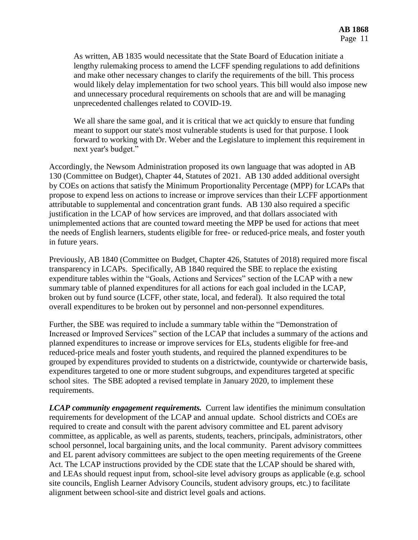As written, AB 1835 would necessitate that the State Board of Education initiate a lengthy rulemaking process to amend the LCFF spending regulations to add definitions and make other necessary changes to clarify the requirements of the bill. This process would likely delay implementation for two school years. This bill would also impose new and unnecessary procedural requirements on schools that are and will be managing unprecedented challenges related to COVID-19.

We all share the same goal, and it is critical that we act quickly to ensure that funding meant to support our state's most vulnerable students is used for that purpose. I look forward to working with Dr. Weber and the Legislature to implement this requirement in next year's budget."

Accordingly, the Newsom Administration proposed its own language that was adopted in AB 130 (Committee on Budget), Chapter 44, Statutes of 2021. AB 130 added additional oversight by COEs on actions that satisfy the Minimum Proportionality Percentage (MPP) for LCAPs that propose to expend less on actions to increase or improve services than their LCFF apportionment attributable to supplemental and concentration grant funds. AB 130 also required a specific justification in the LCAP of how services are improved, and that dollars associated with unimplemented actions that are counted toward meeting the MPP be used for actions that meet the needs of English learners, students eligible for free- or reduced-price meals, and foster youth in future years.

Previously, AB 1840 (Committee on Budget, Chapter 426, Statutes of 2018) required more fiscal transparency in LCAPs. Specifically, AB 1840 required the SBE to replace the existing expenditure tables within the "Goals, Actions and Services" section of the LCAP with a new summary table of planned expenditures for all actions for each goal included in the LCAP, broken out by fund source (LCFF, other state, local, and federal). It also required the total overall expenditures to be broken out by personnel and non-personnel expenditures.

Further, the SBE was required to include a summary table within the "Demonstration of Increased or Improved Services" section of the LCAP that includes a summary of the actions and planned expenditures to increase or improve services for ELs, students eligible for free-and reduced-price meals and foster youth students, and required the planned expenditures to be grouped by expenditures provided to students on a districtwide, countywide or charterwide basis, expenditures targeted to one or more student subgroups, and expenditures targeted at specific school sites. The SBE adopted a revised template in January 2020, to implement these requirements.

*LCAP community engagement requirements.* Current law identifies the minimum consultation requirements for development of the LCAP and annual update. School districts and COEs are required to create and consult with the parent advisory committee and EL parent advisory committee, as applicable, as well as parents, students, teachers, principals, administrators, other school personnel, local bargaining units, and the local community. Parent advisory committees and EL parent advisory committees are subject to the open meeting requirements of the Greene Act. The LCAP instructions provided by the CDE state that the LCAP should be shared with, and LEAs should request input from, school-site level advisory groups as applicable (e.g. school site councils, English Learner Advisory Councils, student advisory groups, etc.) to facilitate alignment between school-site and district level goals and actions.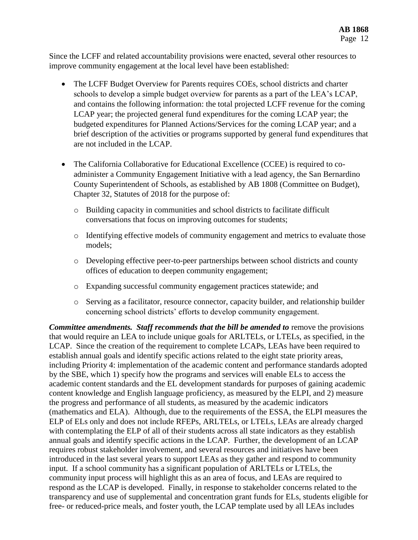Since the LCFF and related accountability provisions were enacted, several other resources to improve community engagement at the local level have been established:

- The LCFF Budget Overview for Parents requires COEs, school districts and charter schools to develop a simple budget overview for parents as a part of the LEA's LCAP, and contains the following information: the total projected LCFF revenue for the coming LCAP year; the projected general fund expenditures for the coming LCAP year; the budgeted expenditures for Planned Actions/Services for the coming LCAP year; and a brief description of the activities or programs supported by general fund expenditures that are not included in the LCAP.
- The California Collaborative for Educational Excellence (CCEE) is required to coadminister a Community Engagement Initiative with a lead agency, the San Bernardino County Superintendent of Schools, as established by AB 1808 (Committee on Budget), Chapter 32, Statutes of 2018 for the purpose of:
	- o Building capacity in communities and school districts to facilitate difficult conversations that focus on improving outcomes for students;
	- o Identifying effective models of community engagement and metrics to evaluate those models;
	- o Developing effective peer-to-peer partnerships between school districts and county offices of education to deepen community engagement;
	- o Expanding successful community engagement practices statewide; and
	- o Serving as a facilitator, resource connector, capacity builder, and relationship builder concerning school districts' efforts to develop community engagement.

*Committee amendments. Staff recommends that the bill be amended to remove the provisions* that would require an LEA to include unique goals for ARLTELs, or LTELs, as specified, in the LCAP. Since the creation of the requirement to complete LCAPs, LEAs have been required to establish annual goals and identify specific actions related to the eight state priority areas, including Priority 4: implementation of the academic content and performance standards adopted by the SBE, which 1) specify how the programs and services will enable ELs to access the academic content standards and the EL development standards for purposes of gaining academic content knowledge and English language proficiency, as measured by the ELPI, and 2) measure the progress and performance of all students, as measured by the academic indicators (mathematics and ELA). Although, due to the requirements of the ESSA, the ELPI measures the ELP of ELs only and does not include RFEPs, ARLTELs, or LTELs, LEAs are already charged with contemplating the ELP of all of their students across all state indicators as they establish annual goals and identify specific actions in the LCAP. Further, the development of an LCAP requires robust stakeholder involvement, and several resources and initiatives have been introduced in the last several years to support LEAs as they gather and respond to community input. If a school community has a significant population of ARLTELs or LTELs, the community input process will highlight this as an area of focus, and LEAs are required to respond as the LCAP is developed. Finally, in response to stakeholder concerns related to the transparency and use of supplemental and concentration grant funds for ELs, students eligible for free- or reduced-price meals, and foster youth, the LCAP template used by all LEAs includes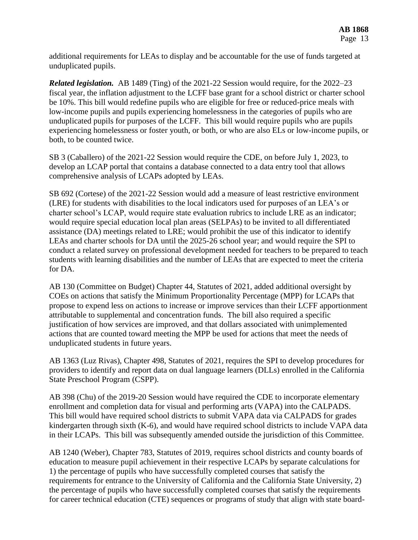additional requirements for LEAs to display and be accountable for the use of funds targeted at unduplicated pupils.

*Related legislation.* AB 1489 (Ting) of the 2021-22 Session would require, for the 2022–23 fiscal year, the inflation adjustment to the LCFF base grant for a school district or charter school be 10%. This bill would redefine pupils who are eligible for free or reduced-price meals with low-income pupils and pupils experiencing homelessness in the categories of pupils who are unduplicated pupils for purposes of the LCFF. This bill would require pupils who are pupils experiencing homelessness or foster youth, or both, or who are also ELs or low-income pupils, or both, to be counted twice.

SB 3 (Caballero) of the 2021-22 Session would require the CDE, on before July 1, 2023, to develop an LCAP portal that contains a database connected to a data entry tool that allows comprehensive analysis of LCAPs adopted by LEAs.

SB 692 (Cortese) of the 2021-22 Session would add a measure of least restrictive environment (LRE) for students with disabilities to the local indicators used for purposes of an LEA's or charter school's LCAP, would require state evaluation rubrics to include LRE as an indicator; would require special education local plan areas (SELPAs) to be invited to all differentiated assistance (DA) meetings related to LRE; would prohibit the use of this indicator to identify LEAs and charter schools for DA until the 2025-26 school year; and would require the SPI to conduct a related survey on professional development needed for teachers to be prepared to teach students with learning disabilities and the number of LEAs that are expected to meet the criteria for DA.

AB 130 (Committee on Budget) Chapter 44, Statutes of 2021, added additional oversight by COEs on actions that satisfy the Minimum Proportionality Percentage (MPP) for LCAPs that propose to expend less on actions to increase or improve services than their LCFF apportionment attributable to supplemental and concentration funds. The bill also required a specific justification of how services are improved, and that dollars associated with unimplemented actions that are counted toward meeting the MPP be used for actions that meet the needs of unduplicated students in future years.

AB 1363 (Luz Rivas), Chapter 498, Statutes of 2021, requires the SPI to develop procedures for providers to identify and report data on dual language learners (DLLs) enrolled in the California State Preschool Program (CSPP).

AB 398 (Chu) of the 2019-20 Session would have required the CDE to incorporate elementary enrollment and completion data for visual and performing arts (VAPA) into the CALPADS. This bill would have required school districts to submit VAPA data via CALPADS for grades kindergarten through sixth (K-6), and would have required school districts to include VAPA data in their LCAPs. This bill was subsequently amended outside the jurisdiction of this Committee.

AB 1240 (Weber), Chapter 783, Statutes of 2019, requires school districts and county boards of education to measure pupil achievement in their respective LCAPs by separate calculations for 1) the percentage of pupils who have successfully completed courses that satisfy the requirements for entrance to the University of California and the California State University, 2) the percentage of pupils who have successfully completed courses that satisfy the requirements for career technical education (CTE) sequences or programs of study that align with state board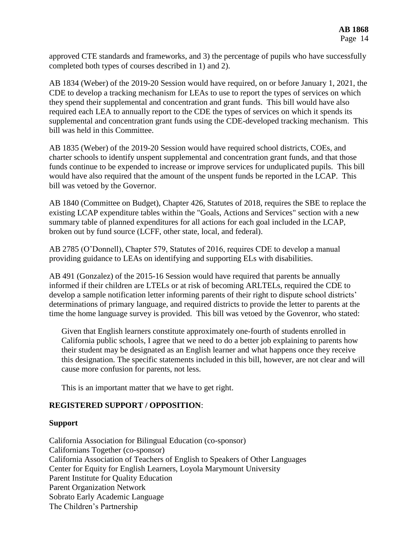approved CTE standards and frameworks, and 3) the percentage of pupils who have successfully completed both types of courses described in 1) and 2).

AB 1834 (Weber) of the 2019-20 Session would have required, on or before January 1, 2021, the CDE to develop a tracking mechanism for LEAs to use to report the types of services on which they spend their supplemental and concentration and grant funds. This bill would have also required each LEA to annually report to the CDE the types of services on which it spends its supplemental and concentration grant funds using the CDE-developed tracking mechanism. This bill was held in this Committee.

AB 1835 (Weber) of the 2019-20 Session would have required school districts, COEs, and charter schools to identify unspent supplemental and concentration grant funds, and that those funds continue to be expended to increase or improve services for unduplicated pupils. This bill would have also required that the amount of the unspent funds be reported in the LCAP. This bill was vetoed by the Governor.

AB 1840 (Committee on Budget), Chapter 426, Statutes of 2018, requires the SBE to replace the existing LCAP expenditure tables within the "Goals, Actions and Services" section with a new summary table of planned expenditures for all actions for each goal included in the LCAP, broken out by fund source (LCFF, other state, local, and federal).

AB 2785 (O'Donnell), Chapter 579, Statutes of 2016, requires CDE to develop a manual providing guidance to LEAs on identifying and supporting ELs with disabilities.

AB 491 (Gonzalez) of the 2015-16 Session would have required that parents be annually informed if their children are LTELs or at risk of becoming ARLTELs, required the CDE to develop a sample notification letter informing parents of their right to dispute school districts' determinations of primary language, and required districts to provide the letter to parents at the time the home language survey is provided. This bill was vetoed by the Govenror, who stated:

Given that English learners constitute approximately one-fourth of students enrolled in California public schools, I agree that we need to do a better job explaining to parents how their student may be designated as an English learner and what happens once they receive this designation. The specific statements included in this bill, however, are not clear and will cause more confusion for parents, not less.

This is an important matter that we have to get right.

## **REGISTERED SUPPORT / OPPOSITION**:

### **Support**

California Association for Bilingual Education (co-sponsor) Californians Together (co-sponsor) California Association of Teachers of English to Speakers of Other Languages Center for Equity for English Learners, Loyola Marymount University Parent Institute for Quality Education Parent Organization Network Sobrato Early Academic Language The Children's Partnership